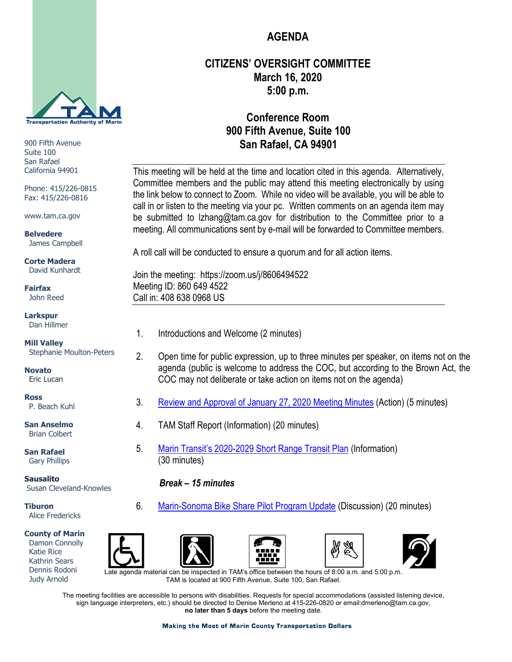

900 Fifth Avenue Suite 100 San Rafael California 94901

Phone: 415/226-0815 Fax: 415/226-0816

www.tam.ca.gov

**Belvedere** James Campbell

**Corte Madera** David Kunhardt

**Fairfax** John Reed

**Larkspur** Dan Hillmer

**Mill Valley** Stephanie Moulton-Peters

**Novato** Eric Lucan

**Ross** P. Beach Kuhl

**San Anselmo** Brian Colbert

**San Rafael** Gary Phillips

**Sausalito** Susan Cleveland-Knowles

**Tiburon** Alice Fredericks

## **County of Marin**

 Damon Connolly Katie Rice Kathrin Sears Dennis Rodoni Judy Arnold

# 4. TAM Staff Report (Information) (20 minutes)

5. [Marin Transit's 2020-2029](https://www.tam.ca.gov/wp-content/uploads/2020/03/5-Marin-Transit-2020-2029-SRTP.pdf) Short Range Transit Plan (Information) (30 minutes)

## *Break – 15 minutes*

6. [Marin-Sonoma Bike Share Pilot Program Update](https://www.tam.ca.gov/wp-content/uploads/2020/03/6-Bike-Share-Pilot-Program-Update.pdf) (Discussion) (20 minutes)









Late agenda material can be inspected in TAM's office between the hours of 8:00 a.m. and 5:00 p.m. TAM is located at 900 Fifth Avenue, Suite 100, San Rafael.

The meeting facilities are accessible to persons with disabilities. Requests for special accommodations (assisted listening device, sign language interpreters, etc.) should be directed to Denise Merleno at 415-226-0820 or email:dmerleno@tam.ca.gov, **no later than 5 days** before the meeting date.

#### **Making the Most of Marin County Transportation Dollars**

# **AGENDA**

# **CITIZENS' OVERSIGHT COMMITTEE March 16, 2020 5:00 p.m.**

# **Conference Room 900 Fifth Avenue, Suite 100 San Rafael, CA 94901**

This meeting will be held at the time and location cited in this agenda. Alternatively, Committee members and the public may attend this meeting electronically by using the link below to connect to Zoom. While no video will be available, you will be able to call in or listen to the meeting via your pc. Written comments on an agenda item may be submitted to [lzhang@tam.ca.gov](mailto:lzhang@tam.ca.gov) for distribution to the Committee prior to a meeting. All communications sent by e-mail will be forwarded to Committee members.

A roll call will be conducted to ensure a quorum and for all action items.

Join the meeting: <https://zoom.us/j/8606494522> Meeting ID: 860 649 4522 Call in: 408 638 0968 US

- 1. Introductions and Welcome (2 minutes)
- 2. Open time for public expression, up to three minutes per speaker, on items not on the agenda (public is welcome to address the COC, but according to the Brown Act, the COC may not deliberate or take action on items not on the agenda)
- 3. [Review and Approval of January 27, 2020](https://www.tam.ca.gov/wp-content/uploads/2020/03/3-COC-01-27-20-Minutes.pdf) Meeting Minutes (Action) (5 minutes)
	-